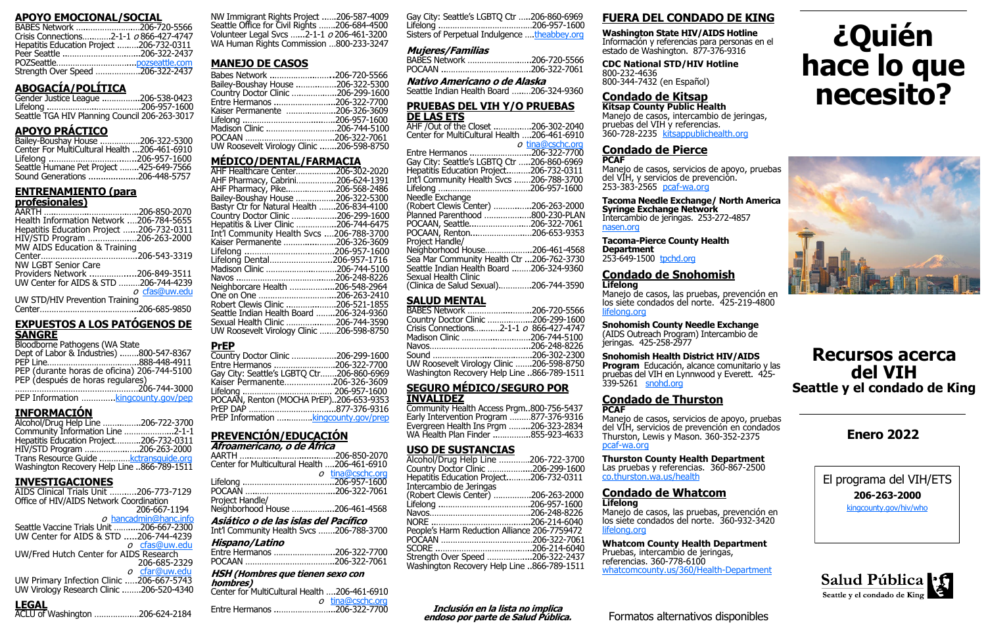### **APOYO EMOCIONAL/SOCIAL**

| BABES Network 206-720-5566                    |  |
|-----------------------------------------------|--|
| Crisis Connections2-1-1 <i>o</i> 866-427-4747 |  |
| Hepatitis Education Project 206-732-0311      |  |
|                                               |  |
|                                               |  |
| Strength Over Speed 206-322-2437              |  |

# **ABOGACÍA/POLÍTICA**

Gender Justice League ..…………..206-538-0423 Lifelong .………………..……………….206-957-1600 Seattle TGA HIV Planning Council 206-263-3017

## **APOYO PRÁCTICO**

| Bailey-Boushay House 206-322-5300            |  |
|----------------------------------------------|--|
| Center For MultiCultural Health 206-461-6910 |  |
|                                              |  |
| Seattle Humane Pet Project 425-649-7566      |  |
| Sound Generations 206-448-5757               |  |

## **ENTRENAMIENTO (para**

### **profesionales)**

| Health Information Network 206-784-5655  |               |
|------------------------------------------|---------------|
| Hepatitis Education Project 206-732-0311 |               |
| HIV/STD Program 206-263-2000             |               |
| MW AIDS Education & Training             |               |
|                                          |               |
| <b>NW LGBT Senior Care</b>               |               |
| Providers Network 206-849-3511           |               |
| UW Center for AIDS & STD 206-744-4239    |               |
|                                          | o cfas@uw.edu |
| UW STD/HIV Prevention Training           |               |
|                                          |               |

### **EXPUESTOS A LOS PATÓGENOS DE SANGRE**

| <b>Bloodborne Pathogens (WA State</b> |  |
|---------------------------------------|--|
| Dont of Labor 8. Inductrice)          |  |

| Dept of Labor & Industries) 800-547-8367                                        |  |
|---------------------------------------------------------------------------------|--|
|                                                                                 |  |
| PEP (durante horas de oficina) 206-744-5100<br>PEP (después de horas regulares) |  |
|                                                                                 |  |
| PEP Information  kingcounty.gov/pep                                             |  |

# **INFORMACIÓN**

| Alcohol/Drug Help Line 206-722-3700        |  |
|--------------------------------------------|--|
| Community Information Line 2-1-1           |  |
| Hepatitis Education Project206-732-0311    |  |
| HIV/STD Program 206-263-2000               |  |
| Trans Resource Guide  kctransquide.org     |  |
| Washington Recovery Help Line 866-789-1511 |  |

## **INVESTIGACIONES**

AIDS Clinical Trials Unit …….….206-773-7129 Office of HIV/AIDS Network Coordination 206-667-1194  $o$  [hancadmin@hanc.info](mailto:hancadmin@hanc.info) Seattle Vaccine Trials Unit …….....206-667-2300 UW Center for AIDS & STD .....206-744-4239 o [cfas@uw.edu](mailto:cfas@uw.edu) UW/Fred Hutch Center for AIDS Research 206-685-2329 o [cfar@uw.edu](mailto:cfar@uw.edu) UW Primary Infection Clinic .….206-667-5743 UW Virology Research Clinic .…….206-520-4340

## **LEGAL**

| .<br>ACLU of Washington 206-624-2184 |  |
|--------------------------------------|--|
|--------------------------------------|--|

NW Immigrant Rights Project ..….206-587-4009 Seattle Office for Civil Rights …….206-684-4500 Volunteer Legal Svcs …...2-1-1 <sup>o</sup> 206-461-3200 WA Human Rights Commission …800-233-3247

# **MANEJO DE CASOS**

AHF /Out of the Closet ..……….….206-302-2040 Center for MultiCultural Health ….206-461-6910  $\rho$  [tina@cschc.org](mailto:tina@cschc.org)

| Babes Network 206-720-5566                |  |
|-------------------------------------------|--|
| Bailey-Boushay House 206-322-5300         |  |
| Country Doctor Clinic 206-299-1600        |  |
| Entre Hermanos 206-322-7700               |  |
| Kaiser Permanente 206-326-3609            |  |
|                                           |  |
| Madison Clinic 206-744-5100               |  |
|                                           |  |
| UW Roosevelt Virology Clinic 206-598-8750 |  |

# **MÉDICO/DENTAL/FARMACIA**

| AHF Healthcare Center206-302-2020          |  |
|--------------------------------------------|--|
| AHF Pharmacy, Cabrini206-624-1391          |  |
| AHF Pharmacy, Pike206-568-2486             |  |
| Bailey-Boushay House 206-322-5300          |  |
| Bastyr Ctr for Natural Health 206-834-4100 |  |
| Country Doctor Clinic 206-299-1600         |  |
| Hepatitis & Liver Clinic 206-744-6475      |  |
| Int'l Community Health Svcs 206-788-3700   |  |
| Kaiser Permanente 206-326-3609             |  |
|                                            |  |
| Lifelong Dental206-957-1716                |  |
| Madison Clinic 206-744-5100                |  |
|                                            |  |
| Neighborcare Health 206-548-2964           |  |
| One on One 206-263-2410                    |  |
| Robert Clewis Clinic 206-521-1855          |  |
| Seattle Indian Health Board 206-324-9360   |  |
| Sexual Health Clinic 206-744-3590          |  |
| UW Roosevelt Virology Clinic 206-598-8750  |  |
|                                            |  |

| -547-8367<br>}-448-4911<br>-744-5100 | <b>PrEP</b><br>Country Doctor Clinic.<br>Entre Hermanos<br>Gay City: Seattle's LGE |
|--------------------------------------|------------------------------------------------------------------------------------|
|                                      |                                                                                    |

| day City. Seatue's LGDTQ Cu200-0 |            |
|----------------------------------|------------|
| Kaiser Permanente206-32          |            |
|                                  |            |
| POCAAN, Renton (MOCHA PrEP)206-6 |            |
|                                  |            |
| <b>PrFP Information</b>          | kingcounty |

| Country Doctor Clinic 206-299-1600        |  |
|-------------------------------------------|--|
| Entre Hermanos 206-322-7700               |  |
| Gay City: Seattle's LGBTQ Ctr206-860-6969 |  |
| Kaiser Permanente206-326-3609             |  |
|                                           |  |
| POCAAN, Renton (MOCHA PrEP)206-653-9353   |  |
|                                           |  |
| PrEP Information  kingcounty.gov/prep     |  |

### **PREVENCIÓN/EDUCACIÓN Afroamericano, o de África**

| All Vallich Idaliu, U UC All Ida             |                  |  |
|----------------------------------------------|------------------|--|
|                                              |                  |  |
| Center for Multicultural Health 206-461-6910 |                  |  |
|                                              | o tina@cschc.org |  |
|                                              |                  |  |
|                                              |                  |  |
| Project Handle/                              |                  |  |
| Neighborhood House 206-461-4568              |                  |  |
| Asiático o de las islas del Pacífico         |                  |  |

**Asiático o de las islas del Pacífico** Int'l Community Health Svcs …….206-788-3700

| <b>INCLOSS:ZUU-700-3700</b> |  |
|-----------------------------|--|
| Hispano/Latino              |  |
| Entre Hermanos 206-322-7700 |  |
|                             |  |

# **HSH (Hombres que tienen sexo con**

| hombres)                                     |                    |
|----------------------------------------------|--------------------|
| Center for MultiCultural Health 206-461-6910 |                    |
|                                              | $o$ tina@cschc.org |
| Entre Hermanos 206-322-7700                  |                    |

Gay City: Seattle's LGBTQ Ctr …..206-860-6969 Lifelong .…………………………………206-957-1600 Sisters of Perpetual Indulgence ….[theabbey.org](http://theabbey.org/) 

### **Mujeres/Familias**

| BABES Network 206-720-5566 |  |
|----------------------------|--|
|                            |  |

**Nativo Americano o de Alaska**

Seattle Indian Health Board …..…206-324-9360

### **PRUEBAS DEL VIH Y/O PRUEBAS DE LAS ETS**

|                                            | u unawoono.uu |
|--------------------------------------------|---------------|
| Entre Hermanos 206-322-7700                |               |
| Gay City: Seattle's LGBTQ Ctr 206-860-6969 |               |
| Hepatitis Education Project206-732-0311    |               |
| Int'l Community Health Svcs 206-788-3700   |               |
|                                            |               |
| Needle Exchange                            |               |
| (Robert Clewis Center) 206-263-2000        |               |
| Planned Parenthood 800-230-PLAN            |               |
| POCAAN, Seattle206-322-7061                |               |
| POCAAN, Renton206-653-9353                 |               |
| Project Handle/                            |               |
| Neighborhood House206-461-4568             |               |
| Sea Mar Community Health Ctr 206-762-3730  |               |
| Seattle Indian Health Board 206-324-9360   |               |
| Sexual Health Clinic                       |               |
| (Clinica de Salud Sexual)206-744-3590      |               |
|                                            |               |

### **SALUD MENTAL**

| BABES Network 206-720-5566                    |
|-----------------------------------------------|
| Country Doctor Clinic 206-299-1600            |
| Crisis Connections2-1-1 <i>o</i> 866-427-4747 |
| Madison Clinic 206-744-5100                   |
|                                               |
|                                               |
| UW Roosevelt Virology Clinic 206-598-8750     |
| Washington Recovery Help Line 866-789-1511    |

### **SEGURO MÉDICO/SEGURO POR INVALIDEZ**

| Community Health Access Prgm800-756-5437 |  |
|------------------------------------------|--|
| Early Intervention Program 877-376-9316  |  |
| Evergreen Health Ins Prgm 206-323-2834   |  |
| WA Health Plan Finder 855-923-4633       |  |
|                                          |  |

### **USO DE SUSTANCIAS**

| Alcohol/Drug Help Line 206-722-3700          |  |
|----------------------------------------------|--|
| Country Doctor Clinic 206-299-1600           |  |
| Hepatitis Education Project206-732-0311      |  |
| Intercambio de Jeringas                      |  |
| (Robert Clewis Center) 206-263-2000          |  |
|                                              |  |
|                                              |  |
|                                              |  |
| People's Harm Reduction Alliance 206-7759472 |  |
|                                              |  |
|                                              |  |
| Strength Over Speed 206-322-2437             |  |
| Washington Recovery Help Line 866-789-1511   |  |

# **FUERA DEL CONDADO DE KING**

**Washington State HIV/AIDS Hotline**  Información y referencias para personas en el estado de Washington. 877-376-9316

**CDC National STD/HIV Hotline** 800-232-4636 800-344-7432 (en Español)

### **Condado de Kitsap**

**Kitsap County Public Health** Manejo de casos, intercambio de jeringas, pruebas del VIH y referencias. 360-728-2235 [kitsappublichealth.org](https://www.kitsappublichealth.org/)

### **Condado de Pierce PCAF**

Manejo de casos, servicios de apoyo, pruebas del VIH, y servicios de prevención. 253-383-2565 pcaf-[wa.org](http://www.pcaf-wa.org/) 

**Tacoma Needle Exchange/ North America Syringe Exchange Network** Intercambio de jeringas.253-272-4857 [nasen.org](https://nasen.org/)

### **Tacoma-Pierce County Health Department** 253-649-1500 [tpchd.org](https://www.tpchd.org/)

# **Condado de Snohomish**

# **Lifelong**

Manejo de casos, las pruebas, prevención en los siete condados del norte. 425-219-4800 <lifelong.org>

### **Snohomish County Needle Exchange**  (AIDS Outreach Program) Intercambio de jeringas. 425-258-2977

**Snohomish Health District HIV/AIDS Program** Educación, alcance comunitario y las pruebas del VIH en Lynnwood y Everett. 425- 339-5261 [snohd.org](http://www.snohd.org/)

### **Condado de Thurston PCAF**

Manejo de casos, servicios de apoyo, pruebas del VIH, servicios de prevención en condados Thurston, Lewis y Mason. 360-352-2375 pcaf-[wa.org](http://www.pcaf-wa.org/) 

# **Thurston County Health Department**

Las pruebas y referencias. 360-867-2500 [co.thurston.wa.us/health](http://www.co.thurston.wa.us/health/)

# **Condado de Whatcom**

### **Lifelong**

Manejo de casos, las pruebas, prevención en los siete condados del norte. 360-932-3420 <lifelong.org>

**Whatcom County Health Department** Pruebas, intercambio de jeringas, referencias. 360-778-6100 [whatcomcounty.us/360/Health](https://www.whatcomcounty.us/360/Health-Department)-Department

# **Recursos acerca del VIH Seattle y el condado de King**

El programa del VIH/ETS **206-263-2000**

[kingcounty.gov/hiv/who](https://www.kingcounty.gov/depts/health/communicable-diseases/hiv-std.aspx)



# **Enero 2022**

# **¿Quién hace lo que necesito?**



**Inclusión en la lista no implica endoso por parte de Salud Pública.**